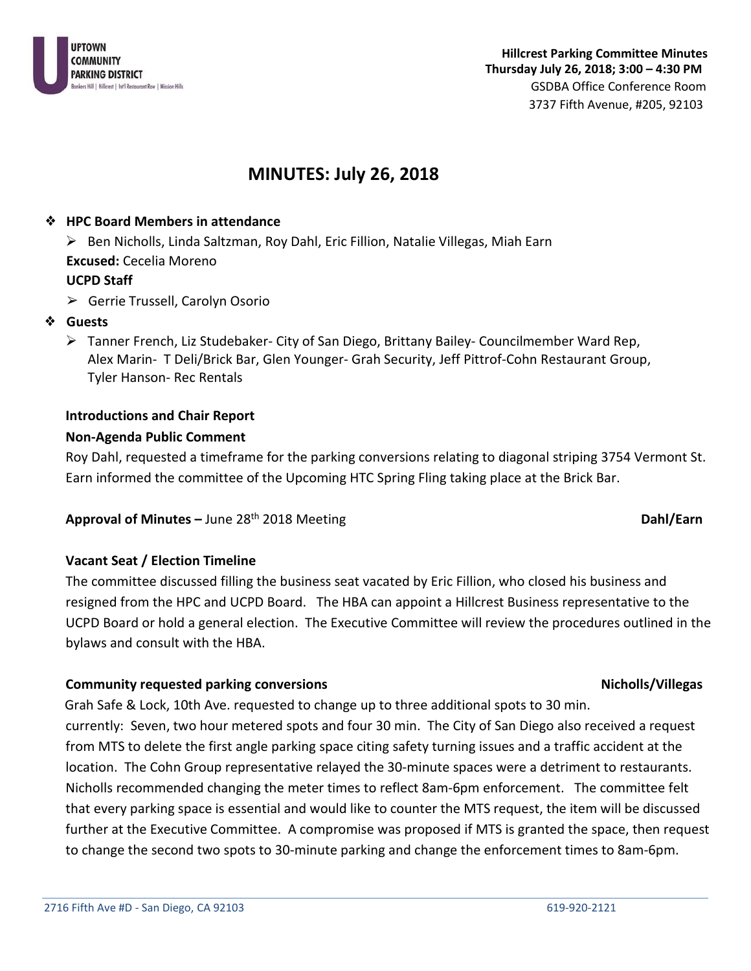

# **MINUTES: July 26, 2018**

#### ❖ **HPC Board Members in attendance**

 $\triangleright$  Ben Nicholls, Linda Saltzman, Roy Dahl, Eric Fillion, Natalie Villegas, Miah Earn **Excused:** Cecelia Moreno **UCPD Staff**

- ➢ Gerrie Trussell, Carolyn Osorio
- ❖ **Guests**
	- $\triangleright$  Tanner French, Liz Studebaker- City of San Diego, Brittany Bailey- Councilmember Ward Rep, Alex Marin- T Deli/Brick Bar, Glen Younger- Grah Security, Jeff Pittrof-Cohn Restaurant Group, Tyler Hanson- Rec Rentals

# **Introductions and Chair Report**

#### **Non-Agenda Public Comment**

Roy Dahl, requested a timeframe for the parking conversions relating to diagonal striping 3754 Vermont St. Earn informed the committee of the Upcoming HTC Spring Fling taking place at the Brick Bar.

### **Approval of Minutes –** June 28<sup>th</sup> 2018 Meeting **Dahl** Earn **Dahl/Earn**

# **Vacant Seat / Election Timeline**

The committee discussed filling the business seat vacated by Eric Fillion, who closed his business and resigned from the HPC and UCPD Board. The HBA can appoint a Hillcrest Business representative to the UCPD Board or hold a general election. The Executive Committee will review the procedures outlined in the bylaws and consult with the HBA.

### **Community requested parking conversions Nicholas According to the Community requested parking conversions** Nicholas

 Grah Safe & Lock, 10th Ave. requested to change up to three additional spots to 30 min. currently: Seven, two hour metered spots and four 30 min. The City of San Diego also received a request from MTS to delete the first angle parking space citing safety turning issues and a traffic accident at the location. The Cohn Group representative relayed the 30-minute spaces were a detriment to restaurants. Nicholls recommended changing the meter times to reflect 8am-6pm enforcement. The committee felt that every parking space is essential and would like to counter the MTS request, the item will be discussed further at the Executive Committee. A compromise was proposed if MTS is granted the space, then request to change the second two spots to 30-minute parking and change the enforcement times to 8am-6pm.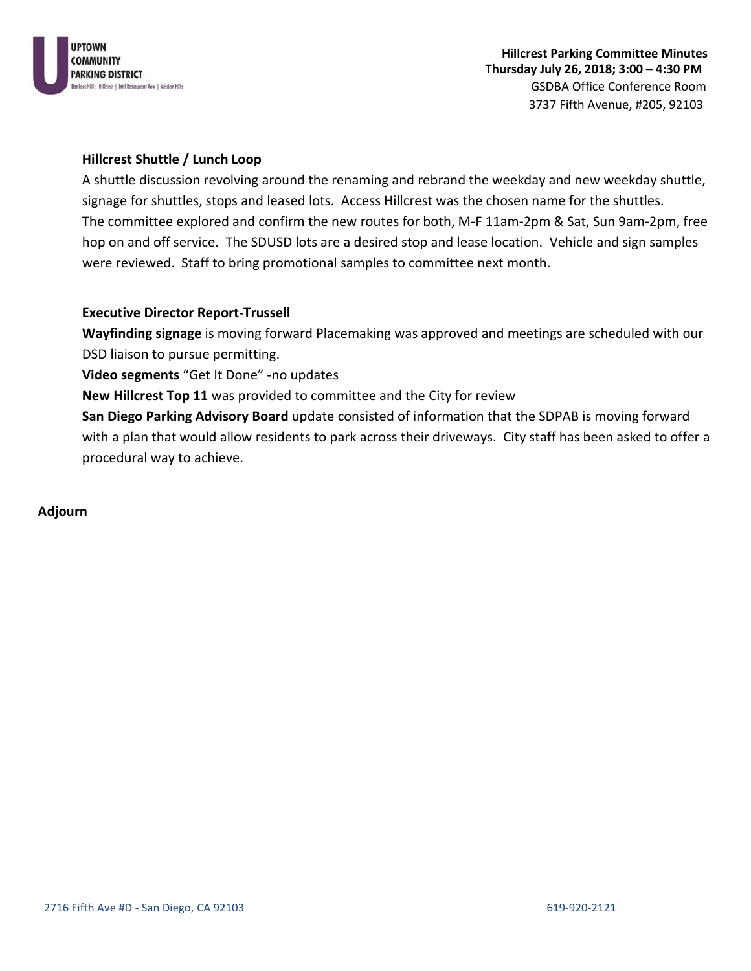

#### **Hillcrest Shuttle / Lunch Loop**

A shuttle discussion revolving around the renaming and rebrand the weekday and new weekday shuttle, signage for shuttles, stops and leased lots. Access Hillcrest was the chosen name for the shuttles. The committee explored and confirm the new routes for both, M-F 11am-2pm & Sat, Sun 9am-2pm, free hop on and off service. The SDUSD lots are a desired stop and lease location. Vehicle and sign samples were reviewed. Staff to bring promotional samples to committee next month.

#### **Executive Director Report-Trussell**

**Wayfinding signage** is moving forward Placemaking was approved and meetings are scheduled with our DSD liaison to pursue permitting.

**Video segments** "Get It Done" **-**no updates

**New Hillcrest Top 11** was provided to committee and the City for review

**San Diego Parking Advisory Board** update consisted of information that the SDPAB is moving forward with a plan that would allow residents to park across their driveways. City staff has been asked to offer a procedural way to achieve.

#### **Adjourn**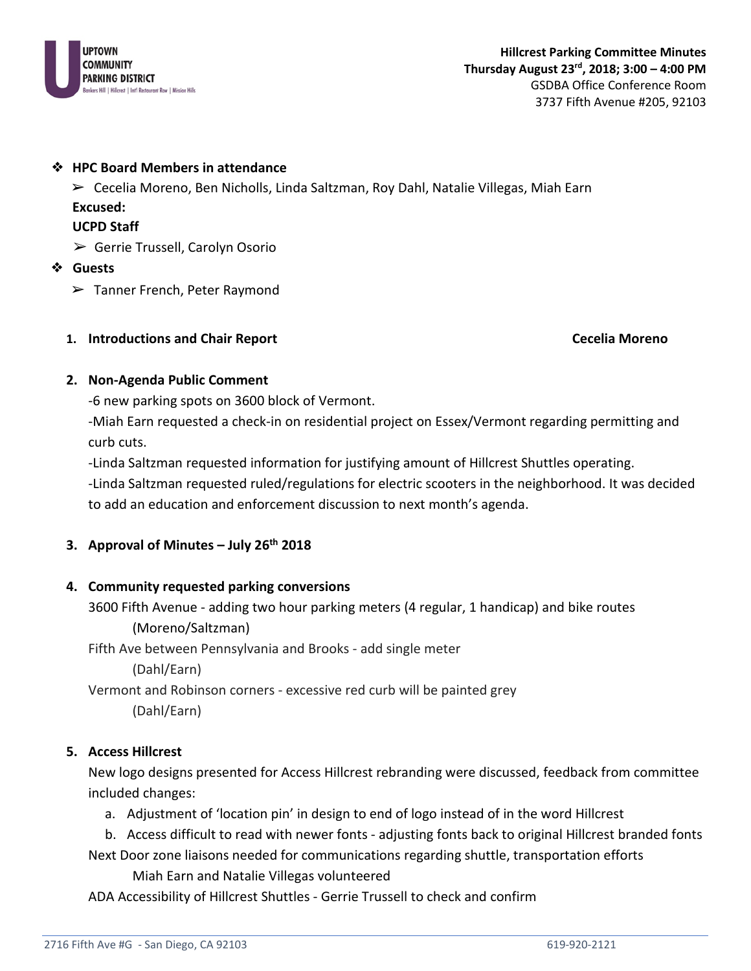

➢ Cecelia Moreno, Ben Nicholls, Linda Saltzman, Roy Dahl, Natalie Villegas, Miah Earn

#### **Excused:**

### **UCPD Staff**

 $\triangleright$  Gerrie Trussell, Carolyn Osorio

### ❖ **Guests**

➢ Tanner French, Peter Raymond

### **1. Introductions and Chair Report Cecelia Moreno**

### **2. Non-Agenda Public Comment**

-6 new parking spots on 3600 block of Vermont.

-Miah Earn requested a check-in on residential project on Essex/Vermont regarding permitting and curb cuts.

-Linda Saltzman requested information for justifying amount of Hillcrest Shuttles operating.

-Linda Saltzman requested ruled/regulations for electric scooters in the neighborhood. It was decided to add an education and enforcement discussion to next month's agenda.

# **3. Approval of Minutes – July 26th 2018**

# **4. Community requested parking conversions**

3600 Fifth Avenue - adding two hour parking meters (4 regular, 1 handicap) and bike routes (Moreno/Saltzman)

Fifth Ave between Pennsylvania and Brooks - add single meter

(Dahl/Earn)

Vermont and Robinson corners - excessive red curb will be painted grey (Dahl/Earn)

# **5. Access Hillcrest**

New logo designs presented for Access Hillcrest rebranding were discussed, feedback from committee included changes:

- a. Adjustment of 'location pin' in design to end of logo instead of in the word Hillcrest
- b. Access difficult to read with newer fonts adjusting fonts back to original Hillcrest branded fonts Next Door zone liaisons needed for communications regarding shuttle, transportation efforts

Miah Earn and Natalie Villegas volunteered

ADA Accessibility of Hillcrest Shuttles - Gerrie Trussell to check and confirm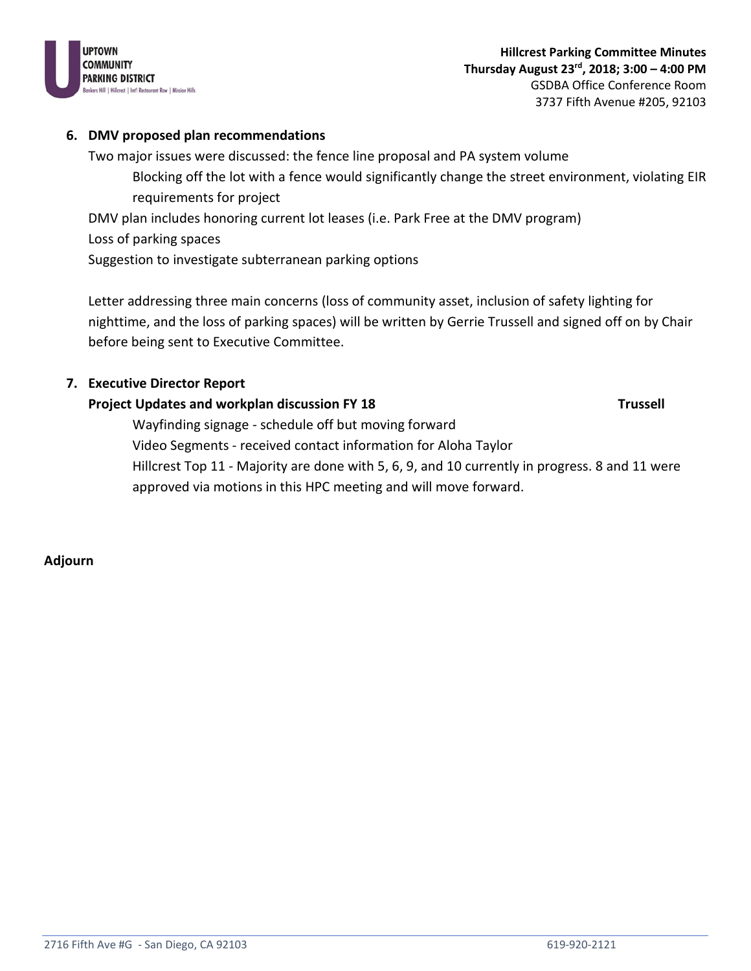

#### **6. DMV proposed plan recommendations**

Two major issues were discussed: the fence line proposal and PA system volume Blocking off the lot with a fence would significantly change the street environment, violating EIR requirements for project

DMV plan includes honoring current lot leases (i.e. Park Free at the DMV program)

Loss of parking spaces

Suggestion to investigate subterranean parking options

Letter addressing three main concerns (loss of community asset, inclusion of safety lighting for nighttime, and the loss of parking spaces) will be written by Gerrie Trussell and signed off on by Chair before being sent to Executive Committee.

### **7. Executive Director Report**

### **Project Updates and workplan discussion FY 18** Trussell **Trussell**

Wayfinding signage - schedule off but moving forward Video Segments - received contact information for Aloha Taylor Hillcrest Top 11 - Majority are done with 5, 6, 9, and 10 currently in progress. 8 and 11 were approved via motions in this HPC meeting and will move forward.

**Adjourn**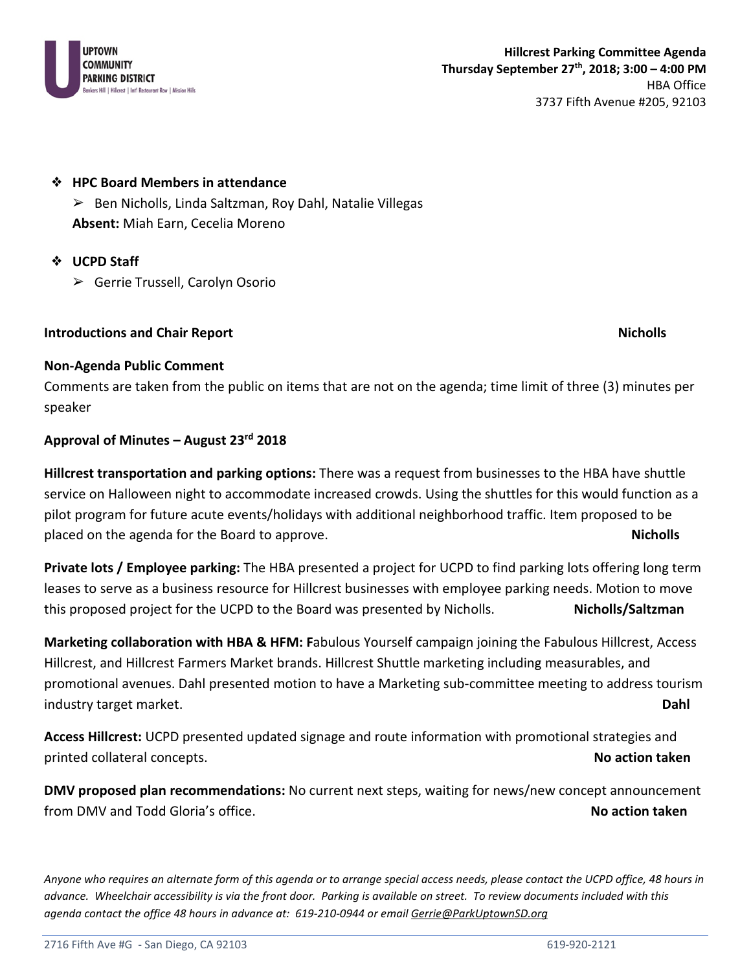

➢ Ben Nicholls, Linda Saltzman, Roy Dahl, Natalie Villegas **Absent:** Miah Earn, Cecelia Moreno

### ❖ **UCPD Staff**

➢ Gerrie Trussell, Carolyn Osorio

### **Introductions and Chair Report Nicholls** and **Report Nicholls** and  $\blacksquare$

#### **Non-Agenda Public Comment**

Comments are taken from the public on items that are not on the agenda; time limit of three (3) minutes per speaker

### **Approval of Minutes – August 23rd 2018**

**Hillcrest transportation and parking options:** There was a request from businesses to the HBA have shuttle service on Halloween night to accommodate increased crowds. Using the shuttles for this would function as a pilot program for future acute events/holidays with additional neighborhood traffic. Item proposed to be placed on the agenda for the Board to approve. **Nicholls**

**Private lots / Employee parking:** The HBA presented a project for UCPD to find parking lots offering long term leases to serve as a business resource for Hillcrest businesses with employee parking needs. Motion to move this proposed project for the UCPD to the Board was presented by Nicholls. **Nicholls/Saltzman**

**Marketing collaboration with HBA & HFM: F**abulous Yourself campaign joining the Fabulous Hillcrest, Access Hillcrest, and Hillcrest Farmers Market brands. Hillcrest Shuttle marketing including measurables, and promotional avenues. Dahl presented motion to have a Marketing sub-committee meeting to address tourism industry target market. **Dahl** 

**Access Hillcrest:** UCPD presented updated signage and route information with promotional strategies and printed collateral concepts. **No action taken** 

**DMV proposed plan recommendations:** No current next steps, waiting for news/new concept announcement from DMV and Todd Gloria's office. **No action taken**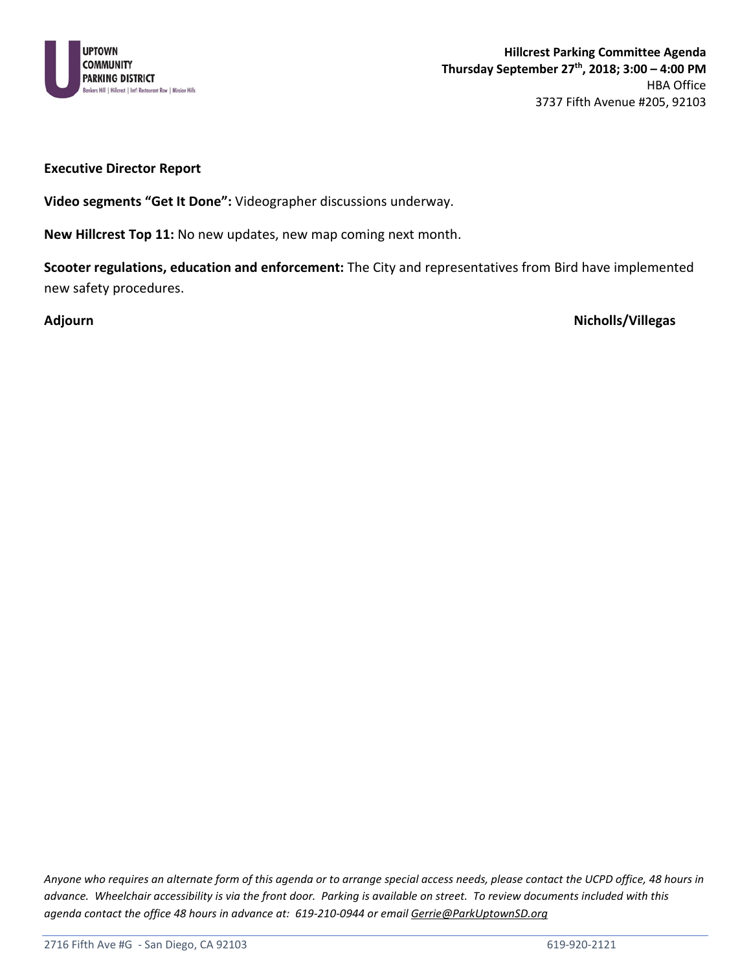

#### **Executive Director Report**

**Video segments "Get It Done":** Videographer discussions underway.

**New Hillcrest Top 11:** No new updates, new map coming next month.

**Scooter regulations, education and enforcement:** The City and representatives from Bird have implemented new safety procedures.

**Adjourn Nicholls/Villegas**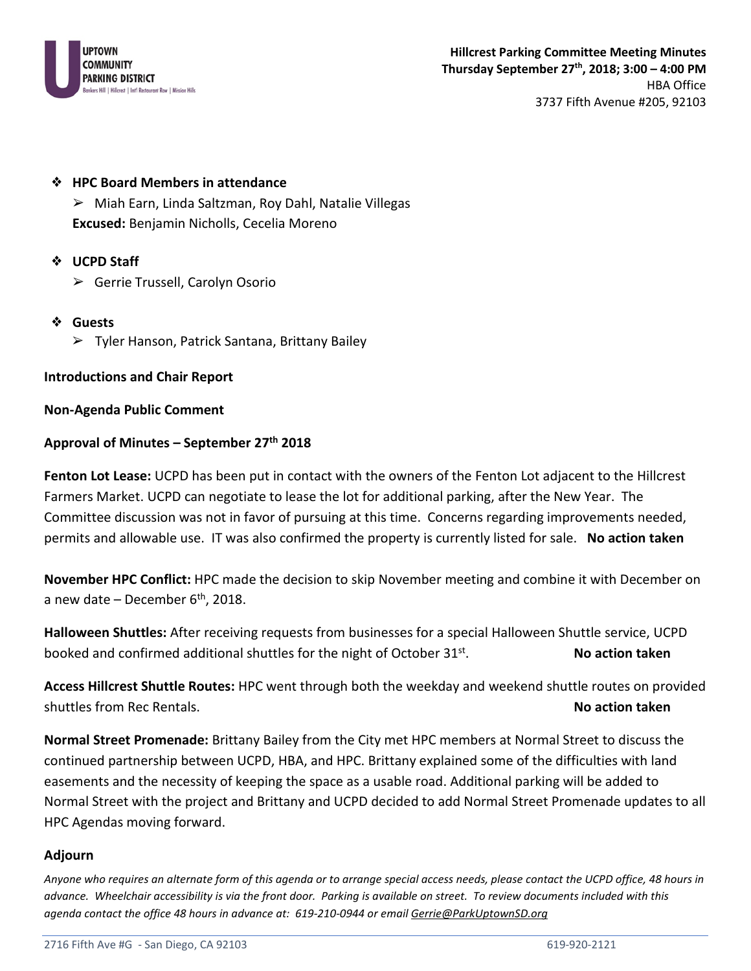

➢ Miah Earn, Linda Saltzman, Roy Dahl, Natalie Villegas **Excused:** Benjamin Nicholls, Cecelia Moreno

#### ❖ **UCPD Staff**

- ➢ Gerrie Trussell, Carolyn Osorio
- ❖ **Guests**
	- ➢ Tyler Hanson, Patrick Santana, Brittany Bailey

#### **Introductions and Chair Report**

#### **Non-Agenda Public Comment**

#### **Approval of Minutes – September 27th 2018**

**Fenton Lot Lease:** UCPD has been put in contact with the owners of the Fenton Lot adjacent to the Hillcrest Farmers Market. UCPD can negotiate to lease the lot for additional parking, after the New Year. The Committee discussion was not in favor of pursuing at this time. Concerns regarding improvements needed, permits and allowable use. IT was also confirmed the property is currently listed for sale. **No action taken** 

**November HPC Conflict:** HPC made the decision to skip November meeting and combine it with December on a new date – December  $6<sup>th</sup>$ , 2018.

**Halloween Shuttles:** After receiving requests from businesses for a special Halloween Shuttle service, UCPD booked and confirmed additional shuttles for the night of October 31<sup>st</sup>. No action taken

**Access Hillcrest Shuttle Routes:** HPC went through both the weekday and weekend shuttle routes on provided shuttles from Rec Rentals. **No action taken** 

**Normal Street Promenade:** Brittany Bailey from the City met HPC members at Normal Street to discuss the continued partnership between UCPD, HBA, and HPC. Brittany explained some of the difficulties with land easements and the necessity of keeping the space as a usable road. Additional parking will be added to Normal Street with the project and Brittany and UCPD decided to add Normal Street Promenade updates to all HPC Agendas moving forward.

#### **Adjourn**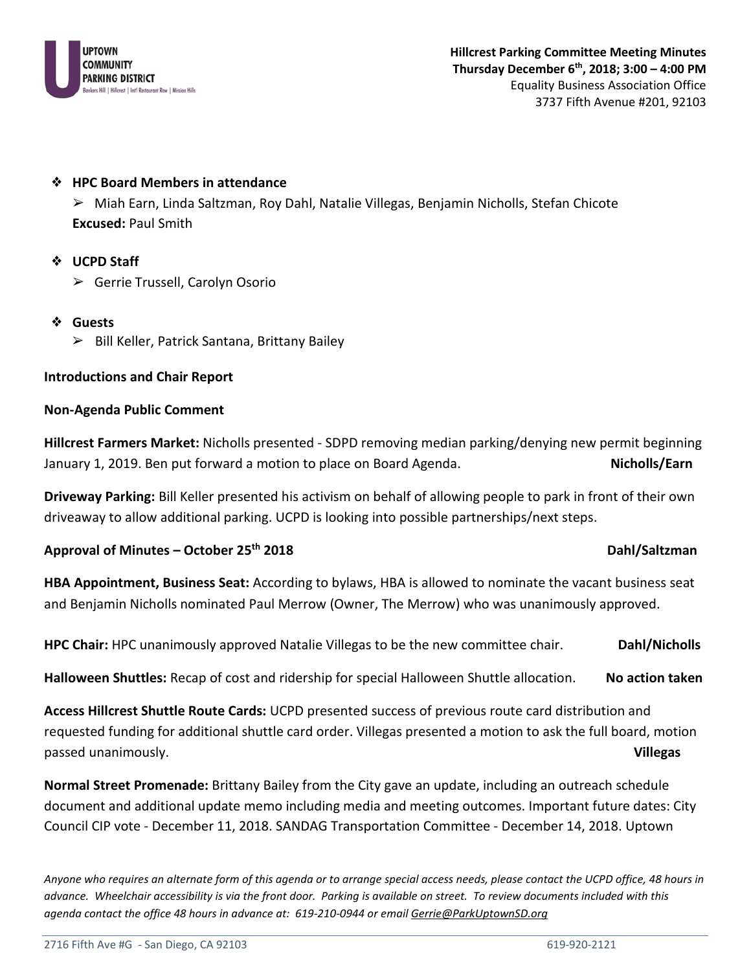

➢ Miah Earn, Linda Saltzman, Roy Dahl, Natalie Villegas, Benjamin Nicholls, Stefan Chicote **Excused:** Paul Smith

### ❖ **UCPD Staff**

- ➢ Gerrie Trussell, Carolyn Osorio
- ❖ **Guests**
	- ➢ Bill Keller, Patrick Santana, Brittany Bailey

### **Introductions and Chair Report**

### **Non-Agenda Public Comment**

**Hillcrest Farmers Market:** Nicholls presented - SDPD removing median parking/denying new permit beginning January 1, 2019. Ben put forward a motion to place on Board Agenda. **Nicholls/Earn**

**Driveway Parking:** Bill Keller presented his activism on behalf of allowing people to park in front of their own driveaway to allow additional parking. UCPD is looking into possible partnerships/next steps.

# **Approval of Minutes – October 25th 2018 Dahl/Saltzman**

**HBA Appointment, Business Seat:** According to bylaws, HBA is allowed to nominate the vacant business seat and Benjamin Nicholls nominated Paul Merrow (Owner, The Merrow) who was unanimously approved.

**HPC Chair:** HPC unanimously approved Natalie Villegas to be the new committee chair. **Dahl/Nicholls** 

**Halloween Shuttles:** Recap of cost and ridership for special Halloween Shuttle allocation. **No action taken** 

**Access Hillcrest Shuttle Route Cards:** UCPD presented success of previous route card distribution and requested funding for additional shuttle card order. Villegas presented a motion to ask the full board, motion passed unanimously. **Villegas**

**Normal Street Promenade:** Brittany Bailey from the City gave an update, including an outreach schedule document and additional update memo including media and meeting outcomes. Important future dates: City Council CIP vote - December 11, 2018. SANDAG Transportation Committee - December 14, 2018. Uptown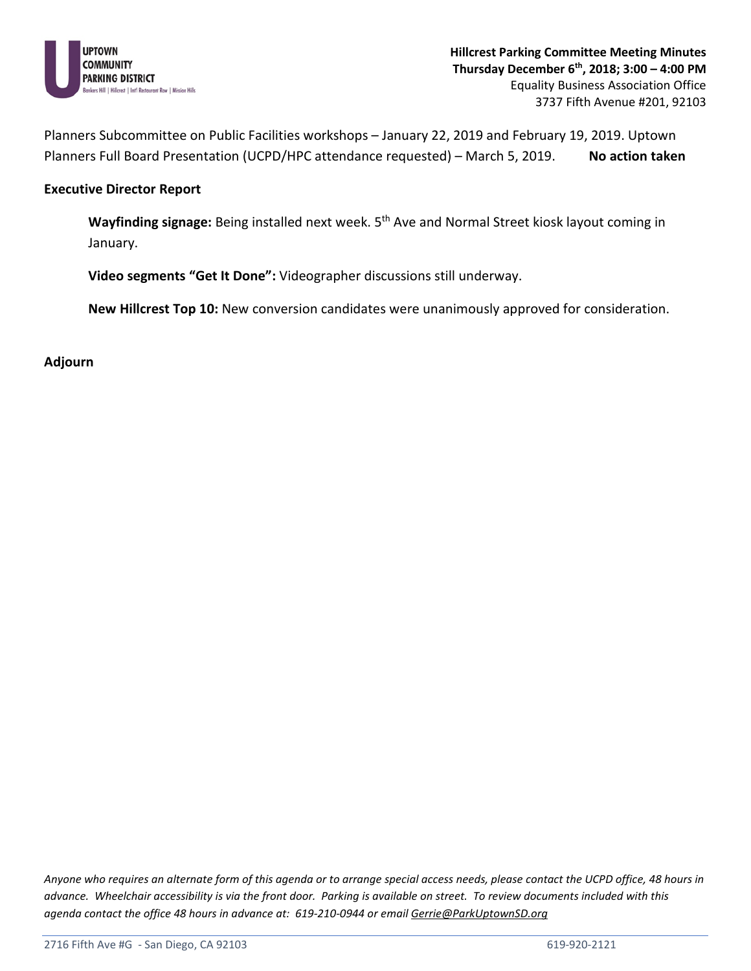

Planners Subcommittee on Public Facilities workshops – January 22, 2019 and February 19, 2019. Uptown Planners Full Board Presentation (UCPD/HPC attendance requested) – March 5, 2019. No action taken

#### **Executive Director Report**

**Wayfinding signage:** Being installed next week. 5th Ave and Normal Street kiosk layout coming in January.

**Video segments "Get It Done":** Videographer discussions still underway.

**New Hillcrest Top 10:** New conversion candidates were unanimously approved for consideration.

**Adjourn**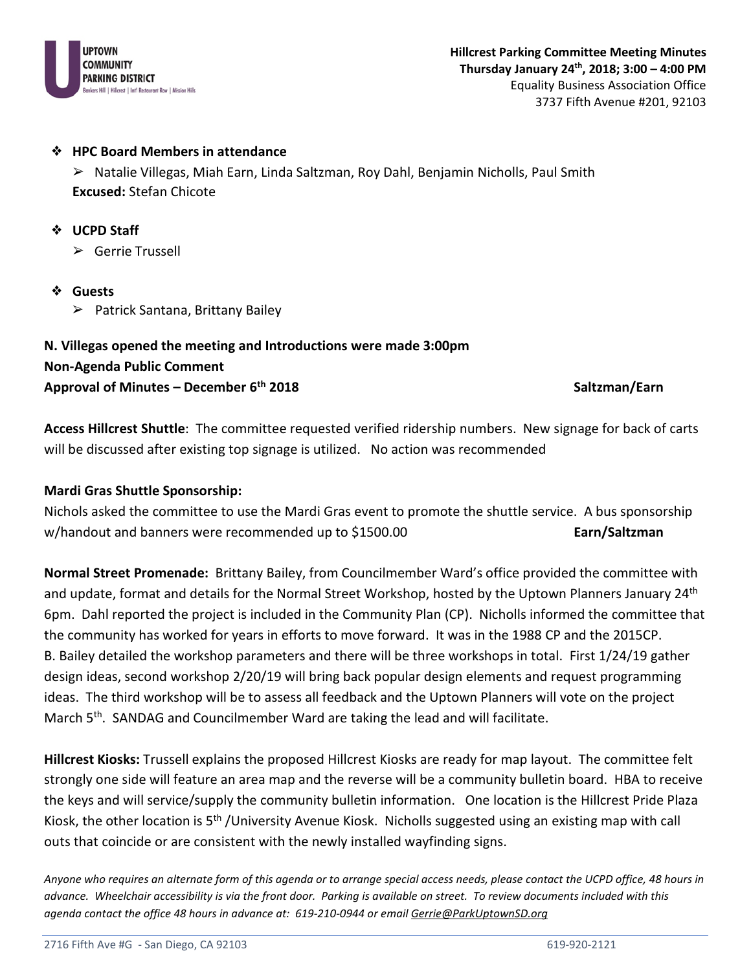

➢ Natalie Villegas, Miah Earn, Linda Saltzman, Roy Dahl, Benjamin Nicholls, Paul Smith **Excused:** Stefan Chicote

#### ❖ **UCPD Staff**

➢ Gerrie Trussell

- ❖ **Guests**
	- ➢ Patrick Santana, Brittany Bailey

# **N. Villegas opened the meeting and Introductions were made 3:00pm Non-Agenda Public Comment Approval of Minutes – December 6th 2018 Saltzman/Earn**

**Access Hillcrest Shuttle**: The committee requested verified ridership numbers. New signage for back of carts will be discussed after existing top signage is utilized. No action was recommended

### **Mardi Gras Shuttle Sponsorship:**

Nichols asked the committee to use the Mardi Gras event to promote the shuttle service. A bus sponsorship w/handout and banners were recommended up to \$1500.00 **Earn Earn/Saltzman** 

**Normal Street Promenade:** Brittany Bailey, from Councilmember Ward's office provided the committee with and update, format and details for the Normal Street Workshop, hosted by the Uptown Planners January 24<sup>th</sup> 6pm. Dahl reported the project is included in the Community Plan (CP). Nicholls informed the committee that the community has worked for years in efforts to move forward. It was in the 1988 CP and the 2015CP. B. Bailey detailed the workshop parameters and there will be three workshops in total. First 1/24/19 gather design ideas, second workshop 2/20/19 will bring back popular design elements and request programming ideas. The third workshop will be to assess all feedback and the Uptown Planners will vote on the project March 5<sup>th</sup>. SANDAG and Councilmember Ward are taking the lead and will facilitate.

**Hillcrest Kiosks:** Trussell explains the proposed Hillcrest Kiosks are ready for map layout. The committee felt strongly one side will feature an area map and the reverse will be a community bulletin board. HBA to receive the keys and will service/supply the community bulletin information. One location is the Hillcrest Pride Plaza Kiosk, the other location is 5th /University Avenue Kiosk. Nicholls suggested using an existing map with call outs that coincide or are consistent with the newly installed wayfinding signs.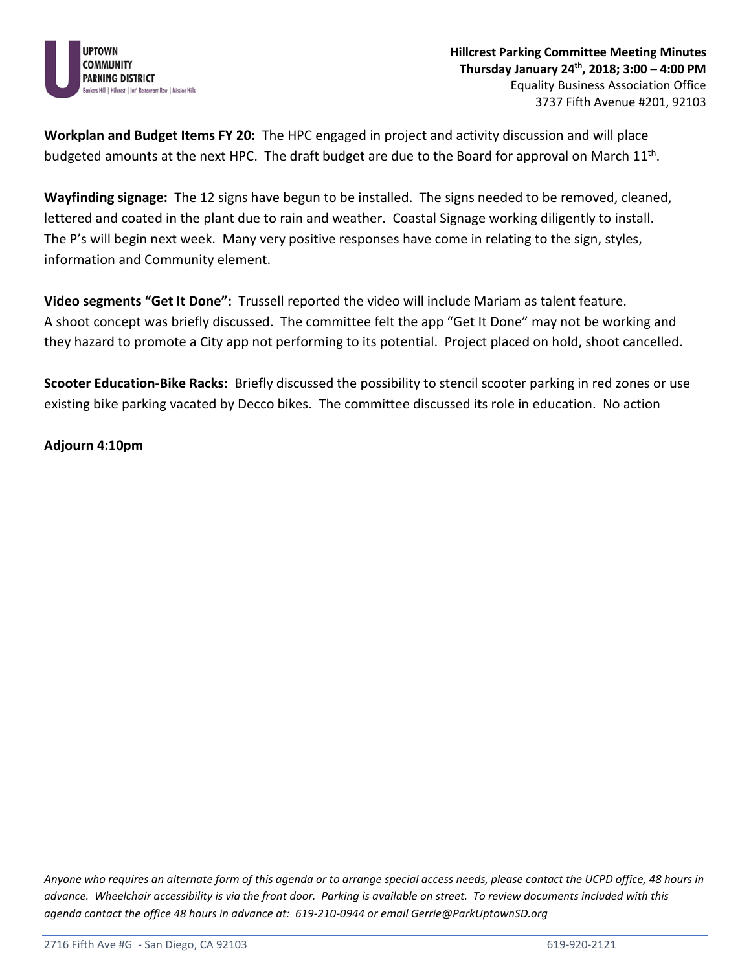

**Workplan and Budget Items FY 20:** The HPC engaged in project and activity discussion and will place budgeted amounts at the next HPC. The draft budget are due to the Board for approval on March 11th.

**Wayfinding signage:** The 12 signs have begun to be installed. The signs needed to be removed, cleaned, lettered and coated in the plant due to rain and weather. Coastal Signage working diligently to install. The P's will begin next week. Many very positive responses have come in relating to the sign, styles, information and Community element.

**Video segments "Get It Done":** Trussell reported the video will include Mariam as talent feature. A shoot concept was briefly discussed. The committee felt the app "Get It Done" may not be working and they hazard to promote a City app not performing to its potential. Project placed on hold, shoot cancelled.

**Scooter Education-Bike Racks:** Briefly discussed the possibility to stencil scooter parking in red zones or use existing bike parking vacated by Decco bikes. The committee discussed its role in education. No action

**Adjourn 4:10pm**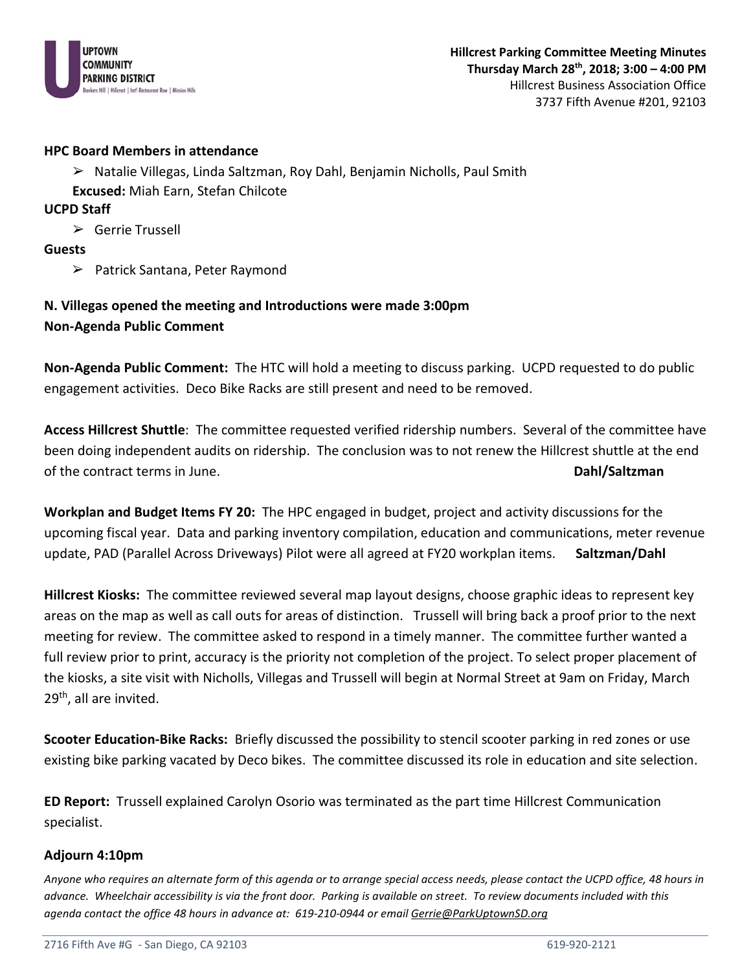

➢ Natalie Villegas, Linda Saltzman, Roy Dahl, Benjamin Nicholls, Paul Smith

**Excused:** Miah Earn, Stefan Chilcote

**UCPD Staff**

➢ Gerrie Trussell

**Guests**

➢ Patrick Santana, Peter Raymond

**N. Villegas opened the meeting and Introductions were made 3:00pm Non-Agenda Public Comment** 

**Non-Agenda Public Comment:** The HTC will hold a meeting to discuss parking. UCPD requested to do public engagement activities. Deco Bike Racks are still present and need to be removed.

**Access Hillcrest Shuttle**: The committee requested verified ridership numbers. Several of the committee have been doing independent audits on ridership. The conclusion was to not renew the Hillcrest shuttle at the end of the contract terms in June. **Dahl/Saltzman**

**Workplan and Budget Items FY 20:** The HPC engaged in budget, project and activity discussions for the upcoming fiscal year. Data and parking inventory compilation, education and communications, meter revenue update, PAD (Parallel Across Driveways) Pilot were all agreed at FY20 workplan items. **Saltzman/Dahl**

**Hillcrest Kiosks:** The committee reviewed several map layout designs, choose graphic ideas to represent key areas on the map as well as call outs for areas of distinction. Trussell will bring back a proof prior to the next meeting for review. The committee asked to respond in a timely manner. The committee further wanted a full review prior to print, accuracy is the priority not completion of the project. To select proper placement of the kiosks, a site visit with Nicholls, Villegas and Trussell will begin at Normal Street at 9am on Friday, March 29<sup>th</sup>, all are invited.

**Scooter Education-Bike Racks:** Briefly discussed the possibility to stencil scooter parking in red zones or use existing bike parking vacated by Deco bikes. The committee discussed its role in education and site selection.

**ED Report:** Trussell explained Carolyn Osorio was terminated as the part time Hillcrest Communication specialist.

### **Adjourn 4:10pm**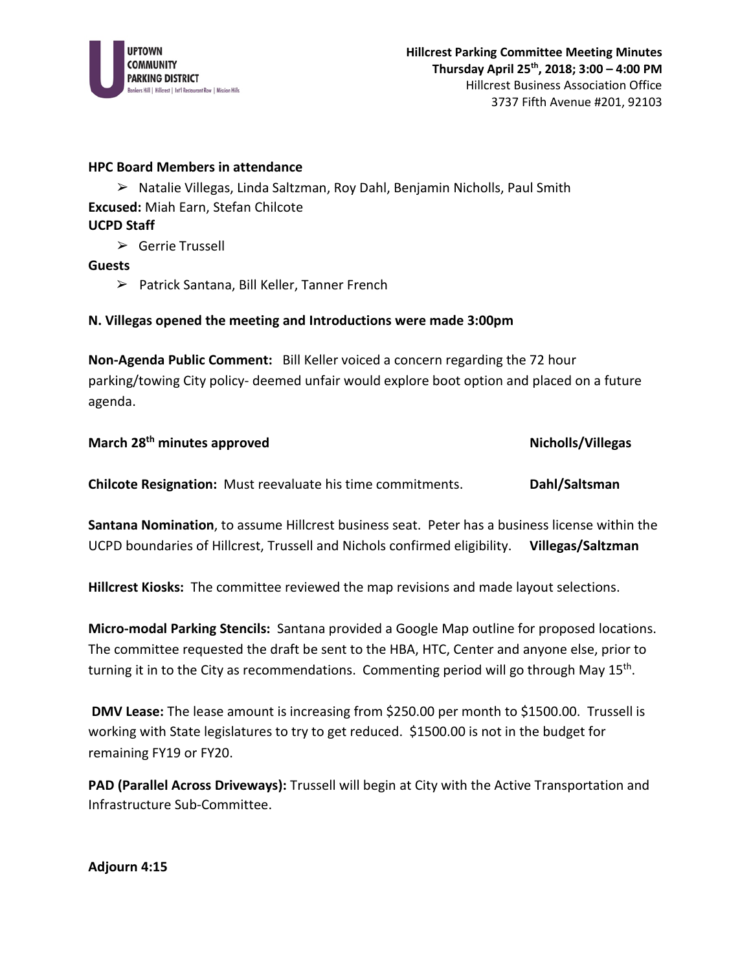

➢ Natalie Villegas, Linda Saltzman, Roy Dahl, Benjamin Nicholls, Paul Smith **Excused:** Miah Earn, Stefan Chilcote **UCPD Staff**

➢ Gerrie Trussell

### **Guests**

➢ Patrick Santana, Bill Keller, Tanner French

### **N. Villegas opened the meeting and Introductions were made 3:00pm**

**Non-Agenda Public Comment:** Bill Keller voiced a concern regarding the 72 hour parking/towing City policy- deemed unfair would explore boot option and placed on a future agenda.

| March 28 <sup>th</sup> minutes approved                            | Nicholls/Villegas |
|--------------------------------------------------------------------|-------------------|
| <b>Chilcote Resignation:</b> Must reevaluate his time commitments. | Dahl/Saltsman     |

**Santana Nomination**, to assume Hillcrest business seat. Peter has a business license within the UCPD boundaries of Hillcrest, Trussell and Nichols confirmed eligibility. **Villegas/Saltzman**

**Hillcrest Kiosks:** The committee reviewed the map revisions and made layout selections.

**Micro-modal Parking Stencils:** Santana provided a Google Map outline for proposed locations. The committee requested the draft be sent to the HBA, HTC, Center and anyone else, prior to turning it in to the City as recommendations. Commenting period will go through May  $15<sup>th</sup>$ .

**DMV Lease:** The lease amount is increasing from \$250.00 per month to \$1500.00. Trussell is working with State legislatures to try to get reduced. \$1500.00 is not in the budget for remaining FY19 or FY20.

**PAD (Parallel Across Driveways):** Trussell will begin at City with the Active Transportation and Infrastructure Sub-Committee.

**Adjourn 4:15**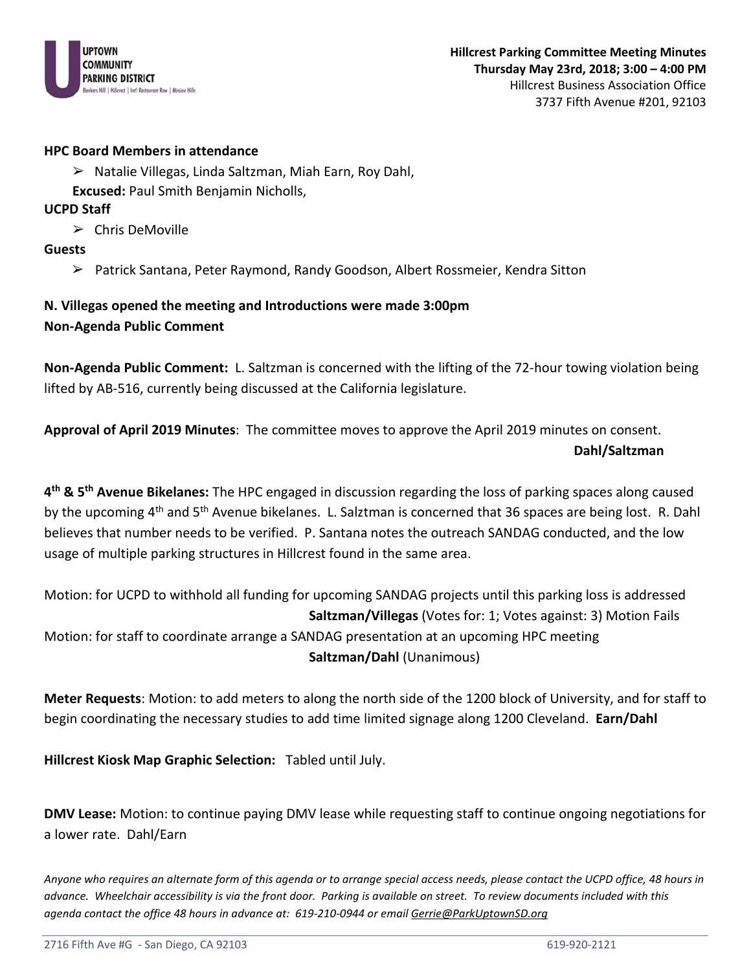

- ➢ Natalie Villegas, Linda Saltzman, Miah Earn, Roy Dahl,
- **Excused:** Paul Smith Benjamin Nicholls,

### **UCPD Staff**

➢ Chris DeMoville

**Guests**

➢ Patrick Santana, Peter Raymond, Randy Goodson, Albert Rossmeier, Kendra Sitton

# **N. Villegas opened the meeting and Introductions were made 3:00pm Non-Agenda Public Comment**

**Non-Agenda Public Comment:** L. Saltzman is concerned with the lifting of the 72-hour towing violation being lifted by AB-516, currently being discussed at the California legislature.

**Approval of April 2019 Minutes**: The committee moves to approve the April 2019 minutes on consent. **Dahl/Saltzman**

**4th & 5th Avenue Bikelanes:** The HPC engaged in discussion regarding the loss of parking spaces along caused by the upcoming 4<sup>th</sup> and 5<sup>th</sup> Avenue bikelanes. L. Salztman is concerned that 36 spaces are being lost. R. Dahl believes that number needs to be verified. P. Santana notes the outreach SANDAG conducted, and the low usage of multiple parking structures in Hillcrest found in the same area.

Motion: for UCPD to withhold all funding for upcoming SANDAG projects until this parking loss is addressed **Saltzman/Villegas** (Votes for: 1; Votes against: 3) Motion Fails Motion: for staff to coordinate arrange a SANDAG presentation at an upcoming HPC meeting **Saltzman/Dahl** (Unanimous)

**Meter Requests**: Motion: to add meters to along the north side of the 1200 block of University, and for staff to begin coordinating the necessary studies to add time limited signage along 1200 Cleveland. **Earn/Dahl**

**Hillcrest Kiosk Map Graphic Selection:** Tabled until July.

**DMV Lease:** Motion: to continue paying DMV lease while requesting staff to continue ongoing negotiations for a lower rate. Dahl/Earn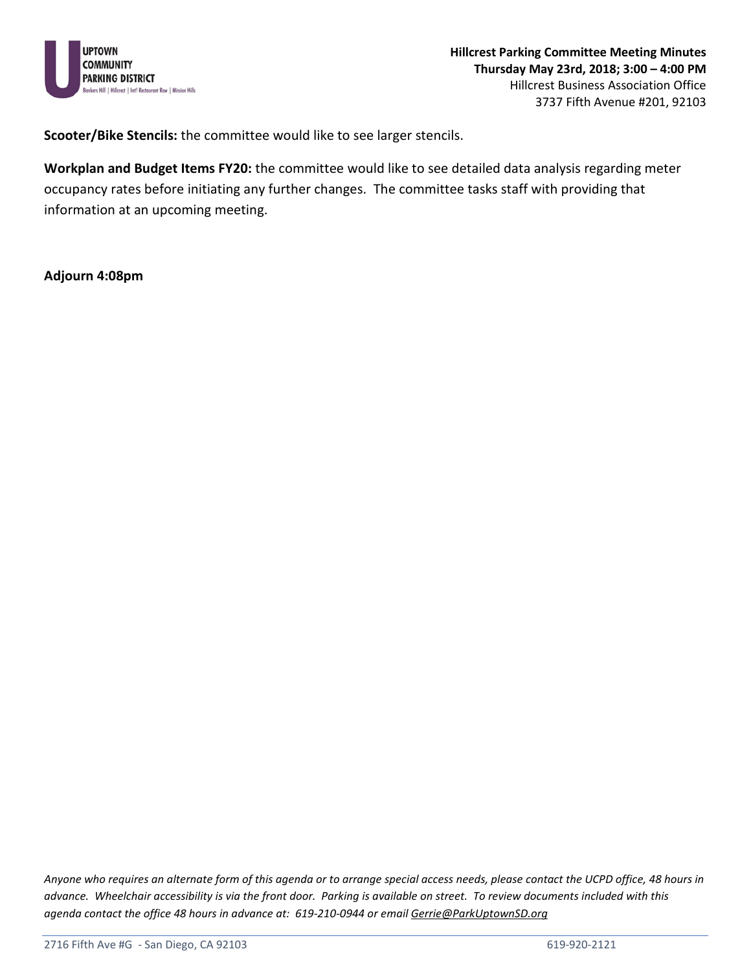

**Scooter/Bike Stencils:** the committee would like to see larger stencils.

**Workplan and Budget Items FY20:** the committee would like to see detailed data analysis regarding meter occupancy rates before initiating any further changes. The committee tasks staff with providing that information at an upcoming meeting.

#### **Adjourn 4:08pm**